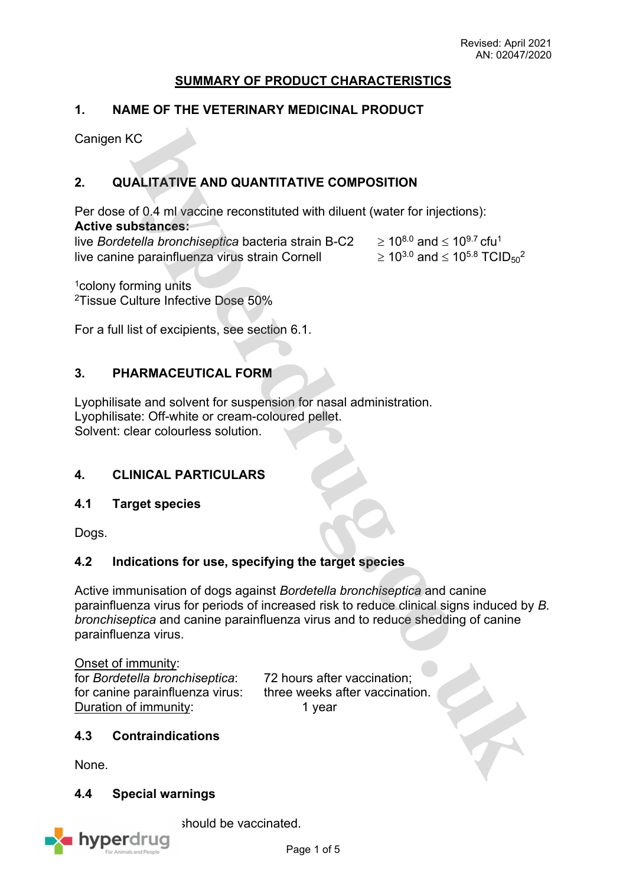# **SUMMARY OF PRODUCT CHARACTERISTICS**

# **1. NAME OF THE VETERINARY MEDICINAL PRODUCT**

Canigen KC

# **2. QUALITATIVE AND QUANTITATIVE COMPOSITION**

Per dose of 0.4 ml vaccine reconstituted with diluent (water for injections): **Active substances:**

live *Bordetella bronchiseptica* bacteria strain B-C2  $\geq 10^{8.0}$  and  $\leq 10^{9.7}$  cfu<sup>1</sup> live canine parainfluenza virus strain Cornell  $\geq 10^{3.0}$  and  $\leq 10^{5.8}$  TCID<sub>50</sub><sup>2</sup>

<sup>1</sup>colony forming units <sup>2</sup>Tissue Culture Infective Dose 50%

For a full list of excipients, see section 6.1.

# **3. PHARMACEUTICAL FORM**

Lyophilisate and solvent for suspension for nasal administration. Lyophilisate: Off-white or cream-coloured pellet. Solvent: clear colourless solution.

## **4. CLINICAL PARTICULARS**

## **4.1 Target species**

Dogs.

## **4.2 Indications for use, specifying the target species**

Active immunisation of dogs against *Bordetella bronchiseptica* and canine parainfluenza virus for periods of increased risk to reduce clinical signs induced by *B. bronchiseptica* and canine parainfluenza virus and to reduce shedding of canine parainfluenza virus.

Onset of immunity: for *Bordetella bronchiseptica*: 72 hours after vaccination; for canine parainfluenza virus: three weeks after vaccination. Duration of immunity: 1 year

## **4.3 Contraindications**

None.

## **4.4 Special warnings**



should be vaccinated.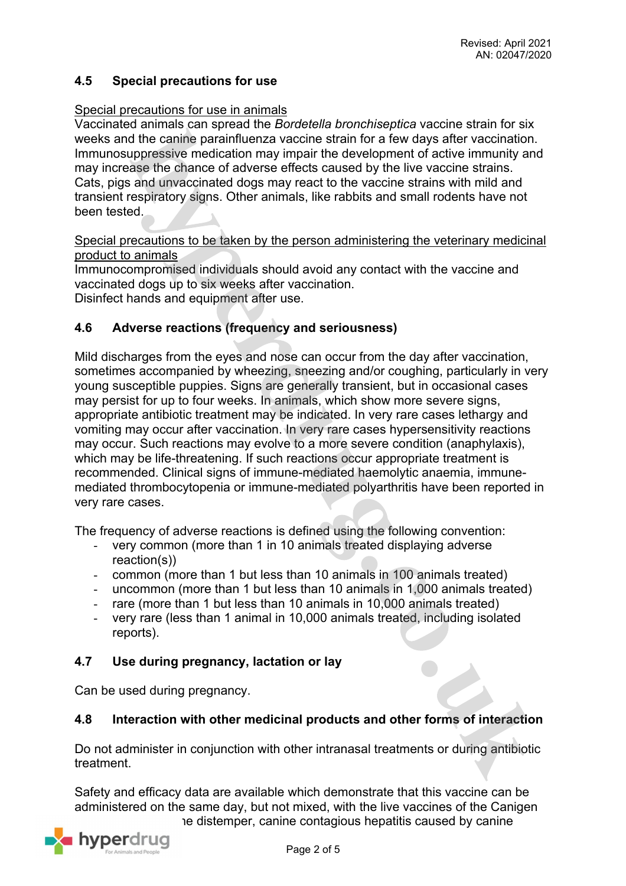# **4.5 Special precautions for use**

#### Special precautions for use in animals

Vaccinated animals can spread the *Bordetella bronchiseptica* vaccine strain for six weeks and the canine parainfluenza vaccine strain for a few days after vaccination. Immunosuppressive medication may impair the development of active immunity and may increase the chance of adverse effects caused by the live vaccine strains. Cats, pigs and unvaccinated dogs may react to the vaccine strains with mild and transient respiratory signs. Other animals, like rabbits and small rodents have not been tested.

Special precautions to be taken by the person administering the veterinary medicinal product to animals

Immunocompromised individuals should avoid any contact with the vaccine and vaccinated dogs up to six weeks after vaccination.

Disinfect hands and equipment after use.

## **4.6 Adverse reactions (frequency and seriousness)**

Mild discharges from the eyes and nose can occur from the day after vaccination, sometimes accompanied by wheezing, sneezing and/or coughing, particularly in very young susceptible puppies. Signs are generally transient, but in occasional cases may persist for up to four weeks. In animals, which show more severe signs, appropriate antibiotic treatment may be indicated. In very rare cases lethargy and vomiting may occur after vaccination. In very rare cases hypersensitivity reactions may occur. Such reactions may evolve to a more severe condition (anaphylaxis), which may be life-threatening. If such reactions occur appropriate treatment is recommended. Clinical signs of immune-mediated haemolytic anaemia, immunemediated thrombocytopenia or immune-mediated polyarthritis have been reported in very rare cases.

The frequency of adverse reactions is defined using the following convention:

- very common (more than 1 in 10 animals treated displaying adverse reaction(s))
- common (more than 1 but less than 10 animals in 100 animals treated)
- uncommon (more than 1 but less than 10 animals in 1,000 animals treated)
- rare (more than 1 but less than 10 animals in 10,000 animals treated)
- very rare (less than 1 animal in 10,000 animals treated, including isolated reports).

## **4.7 Use during pregnancy, lactation or lay**

Can be used during pregnancy.

#### **4.8 Interaction with other medicinal products and other forms of interaction**

Do not administer in conjunction with other intranasal treatments or during antibiotic treatment.

Safety and efficacy data are available which demonstrate that this vaccine can be administered on the same day, but not mixed, with the live vaccines of the Canigen series distemper, canine contagious hepatitis caused by canine

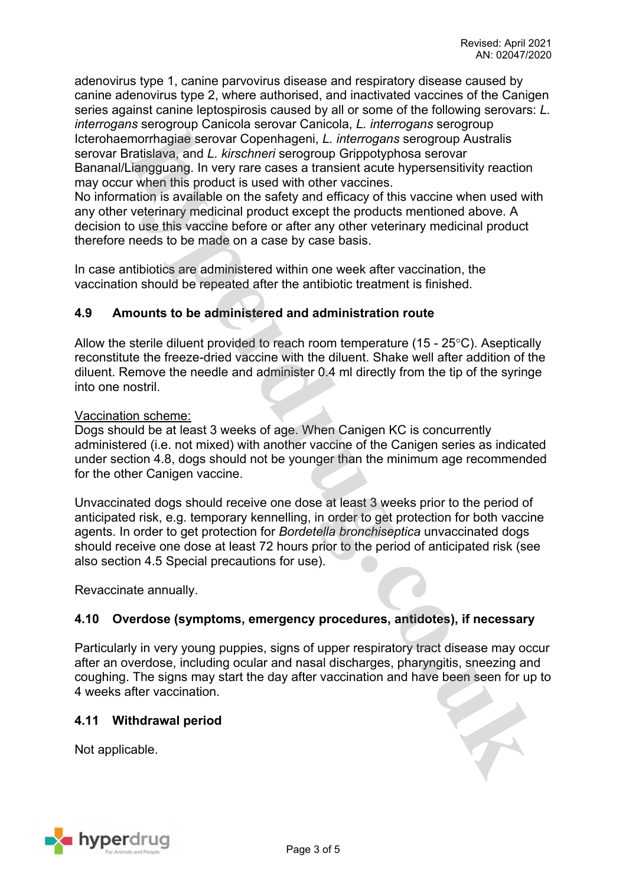adenovirus type 1, canine parvovirus disease and respiratory disease caused by canine adenovirus type 2, where authorised, and inactivated vaccines of the Canigen series against canine leptospirosis caused by all or some of the following serovars: *L. interrogans* serogroup Canicola serovar Canicola, *L. interrogans* serogroup Icterohaemorrhagiae serovar Copenhageni, *L. interrogans* serogroup Australis serovar Bratislava, and *L. kirschneri* serogroup Grippotyphosa serovar Bananal/Liangguang. In very rare cases a transient acute hypersensitivity reaction may occur when this product is used with other vaccines. No information is available on the safety and efficacy of this vaccine when used with

any other veterinary medicinal product except the products mentioned above. A decision to use this vaccine before or after any other veterinary medicinal product therefore needs to be made on a case by case basis.

In case antibiotics are administered within one week after vaccination, the vaccination should be repeated after the antibiotic treatment is finished.

# **4.9 Amounts to be administered and administration route**

Allow the sterile diluent provided to reach room temperature (15 -  $25^{\circ}$ C). Aseptically reconstitute the freeze-dried vaccine with the diluent. Shake well after addition of the diluent. Remove the needle and administer 0.4 ml directly from the tip of the syringe into one nostril.

#### Vaccination scheme:

Dogs should be at least 3 weeks of age. When Canigen KC is concurrently administered (i.e. not mixed) with another vaccine of the Canigen series as indicated under section 4.8, dogs should not be younger than the minimum age recommended for the other Canigen vaccine.

Unvaccinated dogs should receive one dose at least 3 weeks prior to the period of anticipated risk, e.g. temporary kennelling, in order to get protection for both vaccine agents. In order to get protection for *Bordetella bronchiseptica* unvaccinated dogs should receive one dose at least 72 hours prior to the period of anticipated risk (see also section 4.5 Special precautions for use).

Revaccinate annually.

## **4.10 Overdose (symptoms, emergency procedures, antidotes), if necessary**

Particularly in very young puppies, signs of upper respiratory tract disease may occur after an overdose, including ocular and nasal discharges, pharyngitis, sneezing and coughing. The signs may start the day after vaccination and have been seen for up to 4 weeks after vaccination.

## **4.11 Withdrawal period**

Not applicable.

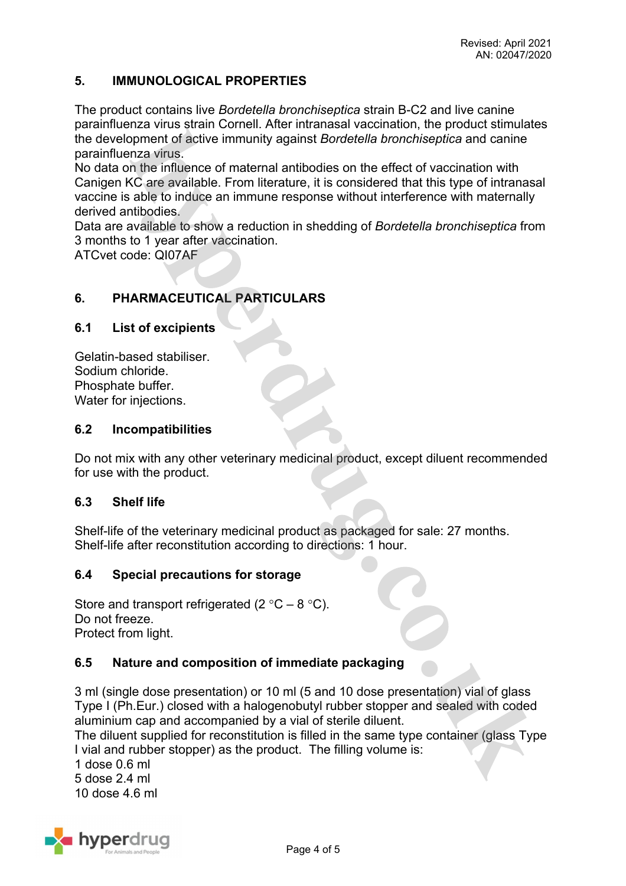# **5. IMMUNOLOGICAL PROPERTIES**

The product contains live *Bordetella bronchiseptica* strain B-C2 and live canine parainfluenza virus strain Cornell. After intranasal vaccination, the product stimulates the development of active immunity against *Bordetella bronchiseptica* and canine parainfluenza virus.

No data on the influence of maternal antibodies on the effect of vaccination with Canigen KC are available. From literature, it is considered that this type of intranasal vaccine is able to induce an immune response without interference with maternally derived antibodies.

Data are available to show a reduction in shedding of *Bordetella bronchiseptica* from 3 months to 1 year after vaccination.

ATCvet code: QI07AF

# **6. PHARMACEUTICAL PARTICULARS**

#### **6.1 List of excipients**

Gelatin-based stabiliser. Sodium chloride. Phosphate buffer. Water for injections.

#### **6.2 Incompatibilities**

Do not mix with any other veterinary medicinal product, except diluent recommended for use with the product.

#### **6.3 Shelf life**

Shelf-life of the veterinary medicinal product as packaged for sale: 27 months. Shelf-life after reconstitution according to directions: 1 hour.

## **6.4 Special precautions for storage**

Store and transport refrigerated (2  $^{\circ}$ C – 8  $^{\circ}$ C). Do not freeze. Protect from light.

## **6.5 Nature and composition of immediate packaging**

3 ml (single dose presentation) or 10 ml (5 and 10 dose presentation) vial of glass Type I (Ph.Eur.) closed with a halogenobutyl rubber stopper and sealed with coded aluminium cap and accompanied by a vial of sterile diluent.

The diluent supplied for reconstitution is filled in the same type container (glass Type I vial and rubber stopper) as the product. The filling volume is:

1 dose 0.6 ml 5 dose 2.4 ml 10 dose  $4.6$  ml